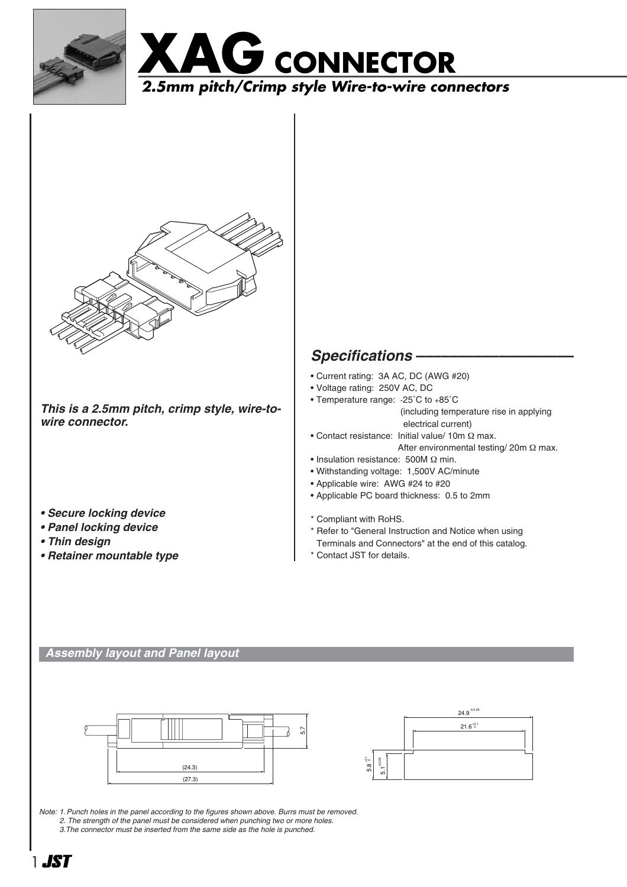





*This is a 2.5mm pitch, crimp style, wire-towire connector.*

- *Secure locking device*
- *Panel locking device*
- *Thin design*
- *Retainer mountable type*

# *Specifications –––––––––––––––––––*

- Current rating: 3A AC, DC (AWG #20)
- Voltage rating: 250V AC, DC
- Temperature range: -25˚C to +85˚C (including temperature rise in applying electrical current)
- Contact resistance: Initial value/ 10m Ω max.
	- After environmental testing/ 20m Ω max.
- Insulation resistance: 500M Ω min.
- Withstanding voltage: 1,500V AC/minute
- Applicable wire: AWG #24 to #20
- Applicable PC board thickness: 0.5 to 2mm
- \* Compliant with RoHS.
- \* Refer to "General Instruction and Notice when using Terminals and Connectors" at the end of this catalog.
- \* Contact JST for details.

### *Assembly layout and Panel layout*





*Note: 1. Punch holes in the panel according to the figures shown above. Burrs must be removed. 2. The strength of the panel must be considered when punching two or more holes. 3.The connector must be inserted from the same side as the hole is punched.*